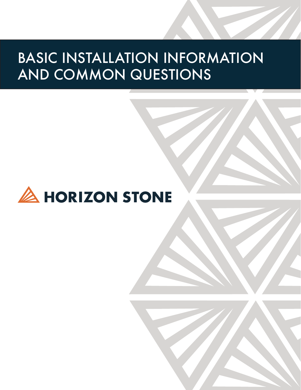# BASIC INSTALLATION INFORMATION AND COMMON QUESTIONS

# **A HORIZON STONE**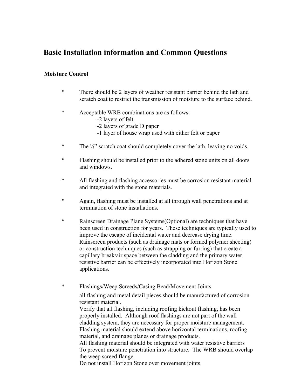## **Basic Installation information and Common Questions**

#### **Moisture Control**

- \* There should be 2 layers of weather resistant barrier behind the lath and scratch coat to restrict the transmission of moisture to the surface behind.
- \* Acceptable WRB combinations are as follows:
	- -2 layers of felt
	- -2 layers of grade D paper
	- -1 layer of house wrap used with either felt or paper
- \* The ½" scratch coat should completely cover the lath, leaving no voids.
- \* Flashing should be installed prior to the adhered stone units on all doors and windows.
- \* All flashing and flashing accessories must be corrosion resistant material and integrated with the stone materials.
- \* Again, flashing must be installed at all through wall penetrations and at termination of stone installations.
- \* Rainscreen Drainage Plane Systems(Optional) are techniques that have been used in construction for years. These techniques are typically used to improve the escape of incidental water and decrease drying time. Rainscreen products (such as drainage mats or formed polymer sheeting) or construction techniques (such as strapping or furring) that create a capillary break/air space between the cladding and the primary water resistive barrier can be effectively incorporated into Horizon Stone applications.
- \* Flashings/Weep Screeds/Casing Bead/Movement Joints all flashing and metal detail pieces should be manufactured of corrosion resistant material.

Verify that all flashing, including roofing kickout flashing, has been properly installed. Although roof flashings are not part of the wall cladding system, they are necessary for proper moisture management. Flashing material should extend above horizontal terminations, roofing material, and drainage planes or drainage products.

All flashing material should be integrated with water resistive barriers To prevent moisture penetration into structure. The WRB should overlap the weep screed flange.

Do not install Horizon Stone over movement joints.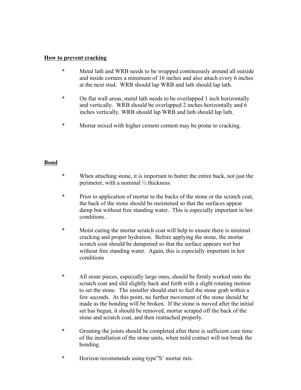#### **How to prevent cracking**

- \* Metal lath and WRB needs to be wrapped continuously around all outside and inside corners a minimum of 16 inches and also attach every 6 inches at the next stud. WRB should lap WRB and lath should lap lath.
- \* On flat wall areas, metal lath needs to be overlapped 1 inch horizontally and vertically. WRB should be overlapped 2 inches horizontally and 6 inches vertically. WRB should lap WRB and lath should lap lath.
- \* Mortar mixed with higher cement content may be prone to cracking.

#### **Bond**

- \* When attaching stone, it is important to butter the entire back, not just the perimeter, with a nominal ½ thickness.
- \* Prior to application of mortar to the backs of the stone or the scratch coat, the back of the stone should be moistened so that the surfaces appear damp but without free standing water. This is especially important in hot conditions.
- \* Moist curing the mortar scratch coat will help to ensure there is minimal cracking and proper hydration. Before applying the stone, the mortar scratch coat should be dampened so that the surface appears wet but without free standing water. Again, this is especially important in hot conditions
- \* All stone pieces, especially large ones, should be firmly worked onto the scratch coat and slid slightly back and forth with a slight rotating motion to set the stone. The installer should start to feel the stone grab within a few seconds. At this point, no further movement of the stone should be made as the bonding will be broken. If the stone is moved after the initial set has begun, it should be removed, mortar scraped off the back of the stone and scratch coat, and then reattached properly.
- \* Grouting the joints should be completed after there is sufficient cure time of the installation of the stone units, when mild contact will not break the bonding.
- \* Horizon recommends using type"S' mortar mix.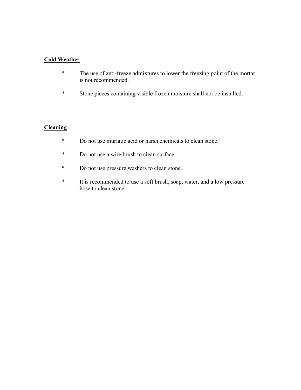#### **Cold Weather**

- \* The use of anti-freeze admixtures to lower the freezing point of the mortar is not recommended.
- \* Stone pieces containing visible frozen moisture shall not be installed.

#### **Cleaning**

- \* Do not use muriatic acid or harsh chemicals to clean stone.
- \* Do not use a wire brush to clean surface.
- \* Do not use pressure washers to clean stone.
- \* It is recommended to use a soft brush, soap, water, and a low pressure hose to clean stone.